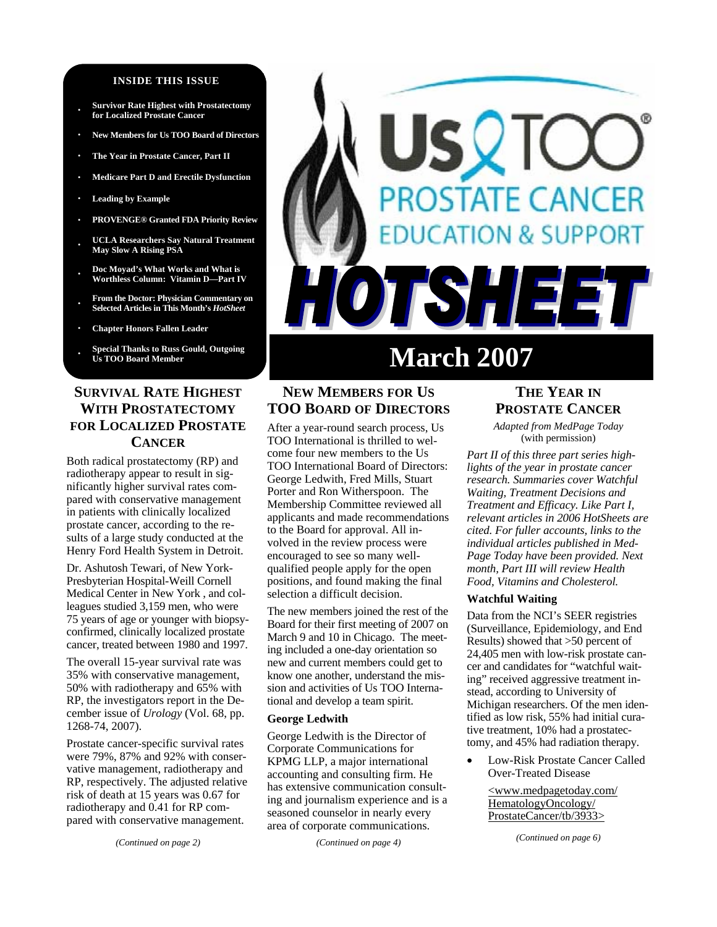### **INSIDE THIS ISSUE**

- **· Survivor Rate Highest with Prostatectomy for Localized Prostate Cancer**
- **· New Members for Us TOO Board of Directors**
- **· The Year in Prostate Cancer, Part II**
- **· Medicare Part D and Erectile Dysfunction**
- **· Leading by Example**
- **· PROVENGE® Granted FDA Priority Review**
- **· UCLA Researchers Say Natural Treatment May Slow A Rising PSA**
- **· Doc Moyad's What Works and What is Worthless Column: Vitamin D—Part IV**
- **· From the Doctor: Physician Commentary on Selected Articles in This Month's** *HotSheet*
- **· Chapter Honors Fallen Leader**
- **· Special Thanks to Russ Gould, Outgoing Us TOO Board Member**

# **SURVIVAL RATE HIGHEST WITH PROSTATECTOMY FOR LOCALIZED PROSTATE CANCER**

Both radical prostatectomy (RP) and radiotherapy appear to result in significantly higher survival rates compared with conservative management in patients with clinically localized prostate cancer, according to the results of a large study conducted at the Henry Ford Health System in Detroit.

Dr. Ashutosh Tewari, of New York-Presbyterian Hospital-Weill Cornell Medical Center in New York , and colleagues studied 3,159 men, who were 75 years of age or younger with biopsyconfirmed, clinically localized prostate cancer, treated between 1980 and 1997.

The overall 15-year survival rate was 35% with conservative management, 50% with radiotherapy and 65% with RP, the investigators report in the December issue of *Urology* (Vol. 68, pp. 1268-74, 2007).

Prostate cancer-specific survival rates were 79%, 87% and 92% with conservative management, radiotherapy and RP, respectively. The adjusted relative risk of death at 15 years was 0.67 for radiotherapy and 0.41 for RP compared with conservative management.

*(Continued on page 2)* 

# **STATE CANCER DN & SUPPORT** ISH E **March 2007**

# **NEW MEMBERS FOR US TOO BOARD OF DIRECTORS**

After a year-round search process, Us TOO International is thrilled to welcome four new members to the Us TOO International Board of Directors: George Ledwith, Fred Mills, Stuart Porter and Ron Witherspoon. The Membership Committee reviewed all applicants and made recommendations to the Board for approval. All involved in the review process were encouraged to see so many wellqualified people apply for the open positions, and found making the final selection a difficult decision.

The new members joined the rest of the Board for their first meeting of 2007 on March 9 and 10 in Chicago. The meeting included a one-day orientation so new and current members could get to know one another, understand the mission and activities of Us TOO International and develop a team spirit.

### **George Ledwith**

George Ledwith is the Director of Corporate Communications for KPMG LLP, a major international accounting and consulting firm. He has extensive communication consulting and journalism experience and is a seasoned counselor in nearly every area of corporate communications.

*(Continued on page 4)* 

# **THE YEAR IN PROSTATE CANCER**

*Adapted from MedPage Today*  (with permission)

*Part II of this three part series highlights of the year in prostate cancer research. Summaries cover Watchful Waiting, Treatment Decisions and Treatment and Efficacy. Like Part I, relevant articles in 2006 HotSheets are cited. For fuller accounts, links to the individual articles published in Med-Page Today have been provided. Next month, Part III will review Health Food, Vitamins and Cholesterol.* 

### **Watchful Waiting**

Data from the NCI's SEER registries (Surveillance, Epidemiology, and End Results) showed that >50 percent of 24,405 men with low-risk prostate cancer and candidates for "watchful waiting" received aggressive treatment instead, according to University of Michigan researchers. Of the men identified as low risk, 55% had initial curative treatment, 10% had a prostatectomy, and 45% had radiation therapy.

• Low-Risk Prostate Cancer Called Over-Treated Disease

> <www.medpagetoday.com/ HematologyOncology/ ProstateCancer/tb/3933>

> > *(Continued on page 6)*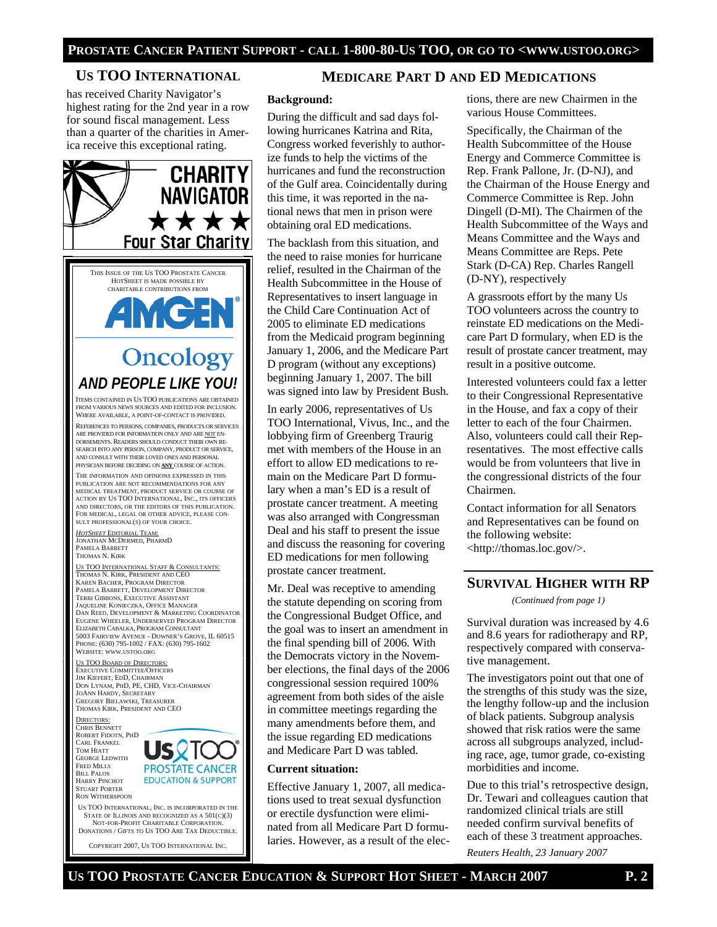# **US TOO INTERNATIONAL**

has received Charity Navigator's highest rating for the 2nd year in a row for sound fiscal management. Less than a quarter of the charities in America receive this exceptional rating.



NOT-FOR-PROFIT CHARITABLE CORPORATION. DONATIONS / GIFTS TO US TOO ARE TAX DEDUCTIBLE.

COPYRIGHT 2007, US TOO INTERNATIONAL INC.

# **MEDICARE PART D AND ED MEDICATIONS**

### **Background:**

During the difficult and sad days following hurricanes Katrina and Rita, Congress worked feverishly to authorize funds to help the victims of the hurricanes and fund the reconstruction of the Gulf area. Coincidentally during this time, it was reported in the national news that men in prison were obtaining oral ED medications.

The backlash from this situation, and the need to raise monies for hurricane relief, resulted in the Chairman of the Health Subcommittee in the House of Representatives to insert language in the Child Care Continuation Act of 2005 to eliminate ED medications from the Medicaid program beginning January 1, 2006, and the Medicare Part D program (without any exceptions) beginning January 1, 2007. The bill was signed into law by President Bush.

In early 2006, representatives of Us TOO International, Vivus, Inc., and the lobbying firm of Greenberg Traurig met with members of the House in an effort to allow ED medications to remain on the Medicare Part D formulary when a man's ED is a result of prostate cancer treatment. A meeting was also arranged with Congressman Deal and his staff to present the issue and discuss the reasoning for covering ED medications for men following prostate cancer treatment.

Mr. Deal was receptive to amending the statute depending on scoring from the Congressional Budget Office, and the goal was to insert an amendment in the final spending bill of 2006. With the Democrats victory in the November elections, the final days of the 2006 congressional session required 100% agreement from both sides of the aisle in committee meetings regarding the many amendments before them, and the issue regarding ED medications and Medicare Part D was tabled.

### **Current situation:**

Effective January 1, 2007, all medications used to treat sexual dysfunction or erectile dysfunction were eliminated from all Medicare Part D formularies. However, as a result of the elections, there are new Chairmen in the various House Committees.

Specifically, the Chairman of the Health Subcommittee of the House Energy and Commerce Committee is Rep. Frank Pallone, Jr. (D-NJ), and the Chairman of the House Energy and Commerce Committee is Rep. John Dingell (D-MI). The Chairmen of the Health Subcommittee of the Ways and Means Committee and the Ways and Means Committee are Reps. Pete Stark (D-CA) Rep. Charles Rangell (D-NY), respectively

A grassroots effort by the many Us TOO volunteers across the country to reinstate ED medications on the Medicare Part D formulary, when ED is the result of prostate cancer treatment, may result in a positive outcome.

Interested volunteers could fax a letter to their Congressional Representative in the House, and fax a copy of their letter to each of the four Chairmen. Also, volunteers could call their Representatives. The most effective calls would be from volunteers that live in the congressional districts of the four Chairmen.

Contact information for all Senators and Representatives can be found on the following website: <http://thomas.loc.gov/>.

# **SURVIVAL HIGHER WITH RP**

*(Continued from page 1)* 

Survival duration was increased by 4.6 and 8.6 years for radiotherapy and RP, respectively compared with conservative management.

The investigators point out that one of the strengths of this study was the size, the lengthy follow-up and the inclusion of black patients. Subgroup analysis showed that risk ratios were the same across all subgroups analyzed, including race, age, tumor grade, co-existing morbidities and income.

Due to this trial's retrospective design, Dr. Tewari and colleagues caution that randomized clinical trials are still needed confirm survival benefits of each of these 3 treatment approaches.

*Reuters Health, 23 January 2007*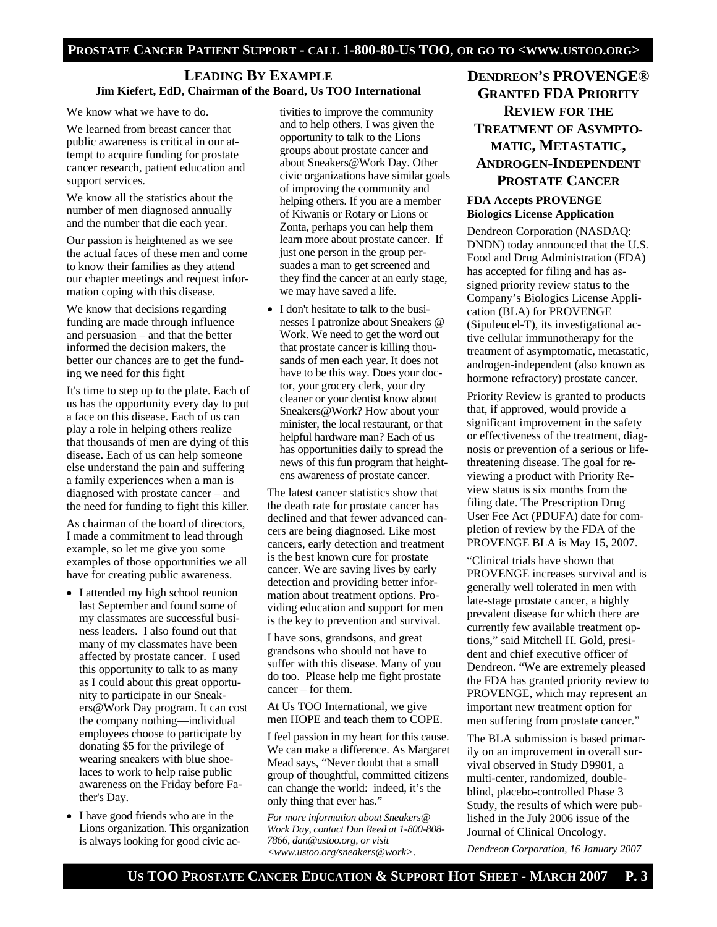# **LEADING BY EXAMPLE Jim Kiefert, EdD, Chairman of the Board, Us TOO International**

### We know what we have to do.

We learned from breast cancer that public awareness is critical in our attempt to acquire funding for prostate cancer research, patient education and support services.

We know all the statistics about the number of men diagnosed annually and the number that die each year.

Our passion is heightened as we see the actual faces of these men and come to know their families as they attend our chapter meetings and request information coping with this disease.

We know that decisions regarding funding are made through influence and persuasion – and that the better informed the decision makers, the better our chances are to get the funding we need for this fight

It's time to step up to the plate. Each of us has the opportunity every day to put a face on this disease. Each of us can play a role in helping others realize that thousands of men are dying of this disease. Each of us can help someone else understand the pain and suffering a family experiences when a man is diagnosed with prostate cancer – and the need for funding to fight this killer.

As chairman of the board of directors, I made a commitment to lead through example, so let me give you some examples of those opportunities we all have for creating public awareness.

- I attended my high school reunion last September and found some of my classmates are successful business leaders. I also found out that many of my classmates have been affected by prostate cancer. I used this opportunity to talk to as many as I could about this great opportunity to participate in our Sneakers@Work Day program. It can cost the company nothing—individual employees choose to participate by donating \$5 for the privilege of wearing sneakers with blue shoelaces to work to help raise public awareness on the Friday before Father's Day.
- I have good friends who are in the Lions organization. This organization is always looking for good civic ac-

tivities to improve the community and to help others. I was given the opportunity to talk to the Lions groups about prostate cancer and about Sneakers@Work Day. Other civic organizations have similar goals of improving the community and helping others. If you are a member of Kiwanis or Rotary or Lions or Zonta, perhaps you can help them learn more about prostate cancer. If just one person in the group persuades a man to get screened and they find the cancer at an early stage, we may have saved a life.

• I don't hesitate to talk to the businesses I patronize about Sneakers @ Work. We need to get the word out that prostate cancer is killing thousands of men each year. It does not have to be this way. Does your doctor, your grocery clerk, your dry cleaner or your dentist know about Sneakers@Work? How about your minister, the local restaurant, or that helpful hardware man? Each of us has opportunities daily to spread the news of this fun program that heightens awareness of prostate cancer.

The latest cancer statistics show that the death rate for prostate cancer has declined and that fewer advanced cancers are being diagnosed. Like most cancers, early detection and treatment is the best known cure for prostate cancer. We are saving lives by early detection and providing better information about treatment options. Providing education and support for men is the key to prevention and survival.

I have sons, grandsons, and great grandsons who should not have to suffer with this disease. Many of you do too. Please help me fight prostate cancer – for them.

At Us TOO International, we give men HOPE and teach them to COPE.

I feel passion in my heart for this cause. We can make a difference. As Margaret Mead says, "Never doubt that a small group of thoughtful, committed citizens can change the world: indeed, it's the only thing that ever has."

*For more information about Sneakers@ Work Day, contact Dan Reed at 1-800-808- 7866, dan@ustoo.org, or visit <www.ustoo.org/sneakers@work>.* 

# **DENDREON'S PROVENGE® GRANTED FDA PRIORITY REVIEW FOR THE TREATMENT OF ASYMPTO-MATIC, METASTATIC, ANDROGEN-INDEPENDENT PROSTATE CANCER**

# **FDA Accepts PROVENGE Biologics License Application**

Dendreon Corporation (NASDAQ: DNDN) today announced that the U.S. Food and Drug Administration (FDA) has accepted for filing and has assigned priority review status to the Company's Biologics License Application (BLA) for PROVENGE (Sipuleucel-T), its investigational active cellular immunotherapy for the treatment of asymptomatic, metastatic, androgen-independent (also known as hormone refractory) prostate cancer.

Priority Review is granted to products that, if approved, would provide a significant improvement in the safety or effectiveness of the treatment, diagnosis or prevention of a serious or lifethreatening disease. The goal for reviewing a product with Priority Review status is six months from the filing date. The Prescription Drug User Fee Act (PDUFA) date for completion of review by the FDA of the PROVENGE BLA is May 15, 2007.

"Clinical trials have shown that PROVENGE increases survival and is generally well tolerated in men with late-stage prostate cancer, a highly prevalent disease for which there are currently few available treatment options," said Mitchell H. Gold, president and chief executive officer of Dendreon. "We are extremely pleased the FDA has granted priority review to PROVENGE, which may represent an important new treatment option for men suffering from prostate cancer."

The BLA submission is based primarily on an improvement in overall survival observed in Study D9901, a multi-center, randomized, doubleblind, placebo-controlled Phase 3 Study, the results of which were published in the July 2006 issue of the Journal of Clinical Oncology.

*Dendreon Corporation, 16 January 2007*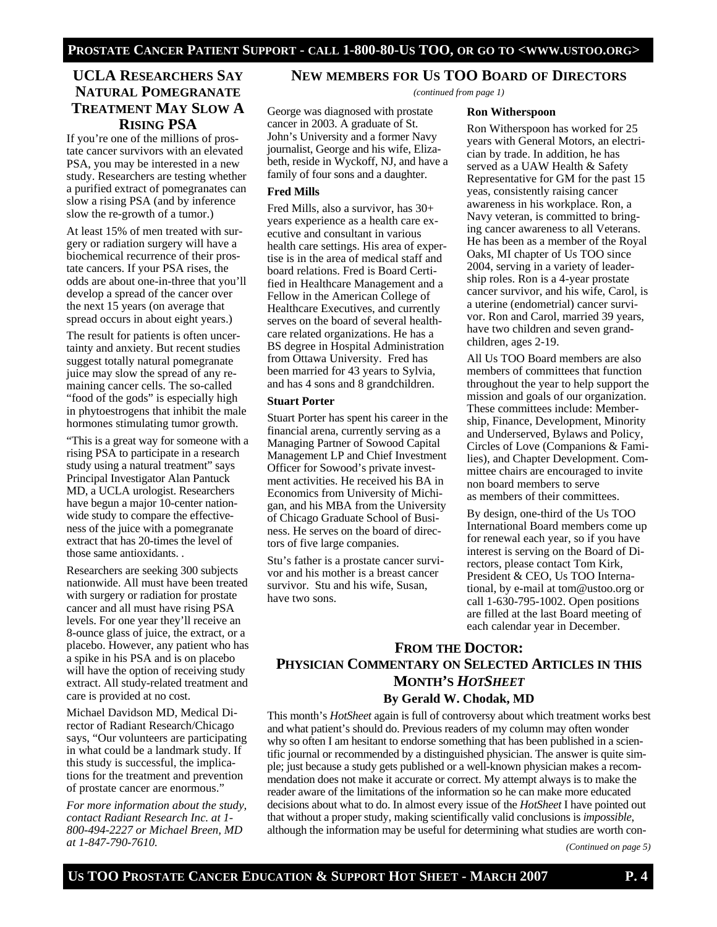George was diagnosed with prostate cancer in 2003. A graduate of St. John's University and a former Navy journalist, George and his wife, Elizabeth, reside in Wyckoff, NJ, and have a family of four sons and a daughter.

Fred Mills, also a survivor, has 30+ years experience as a health care executive and consultant in various health care settings. His area of expertise is in the area of medical staff and board relations. Fred is Board Certified in Healthcare Management and a Fellow in the American College of Healthcare Executives, and currently serves on the board of several healthcare related organizations. He has a BS degree in Hospital Administration from Ottawa University. Fred has been married for 43 years to Sylvia, and has 4 sons and 8 grandchildren.

Stuart Porter has spent his career in the financial arena, currently serving as a Managing Partner of Sowood Capital Management LP and Chief Investment Officer for Sowood's private investment activities. He received his BA in Economics from University of Michigan, and his MBA from the University of Chicago Graduate School of Business. He serves on the board of direc-

tors of five large companies.

Stu's father is a prostate cancer survivor and his mother is a breast cancer survivor. Stu and his wife, Susan,

**Fred Mills** 

**Stuart Porter** 

have two sons.

# **UCLA RESEARCHERS SAY NATURAL POMEGRANATE TREATMENT MAY SLOW A RISING PSA**

If you're one of the millions of prostate cancer survivors with an elevated PSA, you may be interested in a new study. Researchers are testing whether a purified extract of pomegranates can slow a rising PSA (and by inference slow the re-growth of a tumor.)

At least 15% of men treated with surgery or radiation surgery will have a biochemical recurrence of their prostate cancers. If your PSA rises, the odds are about one-in-three that you'll develop a spread of the cancer over the next 15 years (on average that spread occurs in about eight years.)

The result for patients is often uncertainty and anxiety. But recent studies suggest totally natural pomegranate juice may slow the spread of any remaining cancer cells. The so-called "food of the gods" is especially high in phytoestrogens that inhibit the male hormones stimulating tumor growth.

"This is a great way for someone with a rising PSA to participate in a research study using a natural treatment" says Principal Investigator Alan Pantuck MD, a UCLA urologist. Researchers have begun a major 10-center nationwide study to compare the effectiveness of the juice with a pomegranate extract that has 20-times the level of those same antioxidants. .

Researchers are seeking 300 subjects nationwide. All must have been treated with surgery or radiation for prostate cancer and all must have rising PSA levels. For one year they'll receive an 8-ounce glass of juice, the extract, or a placebo. However, any patient who has a spike in his PSA and is on placebo will have the option of receiving study extract. All study-related treatment and care is provided at no cost.

Michael Davidson MD, Medical Director of Radiant Research/Chicago says, "Our volunteers are participating in what could be a landmark study. If this study is successful, the implications for the treatment and prevention of prostate cancer are enormous."

*For more information about the study, contact Radiant Research Inc. at 1- 800-494-2227 or Michael Breen, MD at 1-847-790-7610.* 

# **NEW MEMBERS FOR US TOO BOARD OF DIRECTORS**

*(continued from page 1)* 

### **Ron Witherspoon**

Ron Witherspoon has worked for 25 years with General Motors, an electrician by trade. In addition, he has served as a UAW Health & Safety Representative for GM for the past 15 yeas, consistently raising cancer awareness in his workplace. Ron, a Navy veteran, is committed to bringing cancer awareness to all Veterans. He has been as a member of the Royal Oaks, MI chapter of Us TOO since 2004, serving in a variety of leadership roles. Ron is a 4-year prostate cancer survivor, and his wife, Carol, is a uterine (endometrial) cancer survivor. Ron and Carol, married 39 years, have two children and seven grandchildren, ages 2-19.

All Us TOO Board members are also members of committees that function throughout the year to help support the mission and goals of our organization. These committees include: Membership, Finance, Development, Minority and Underserved, Bylaws and Policy, Circles of Love (Companions & Families), and Chapter Development. Committee chairs are encouraged to invite non board members to serve as members of their committees.

By design, one-third of the Us TOO International Board members come up for renewal each year, so if you have interest is serving on the Board of Directors, please contact Tom Kirk, President & CEO, Us TOO International, by e-mail at tom@ustoo.org or call 1-630-795-1002. Open positions are filled at the last Board meeting of each calendar year in December.

# **FROM THE DOCTOR: PHYSICIAN COMMENTARY ON SELECTED ARTICLES IN THIS MONTH'S** *HOTSHEET* **By Gerald W. Chodak, MD**

This month's *HotSheet* again is full of controversy about which treatment works best and what patient's should do. Previous readers of my column may often wonder why so often I am hesitant to endorse something that has been published in a scientific journal or recommended by a distinguished physician. The answer is quite simple; just because a study gets published or a well-known physician makes a recommendation does not make it accurate or correct. My attempt always is to make the reader aware of the limitations of the information so he can make more educated decisions about what to do. In almost every issue of the *HotSheet* I have pointed out that without a proper study, making scientifically valid conclusions is *impossible*, although the information may be useful for determining what studies are worth con-

*(Continued on page 5)*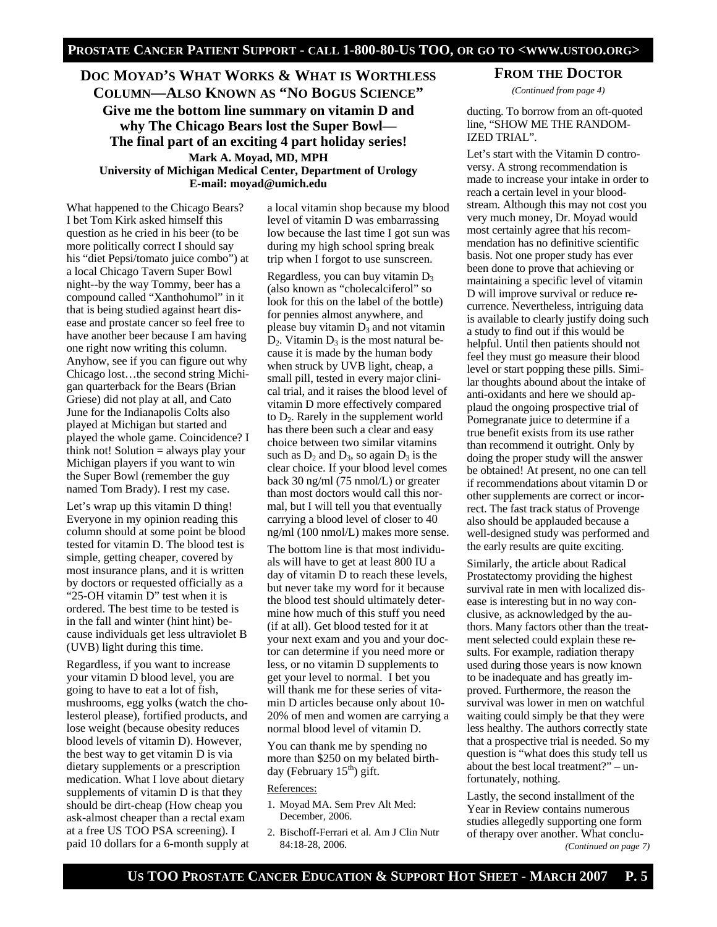# **DOC MOYAD'S WHAT WORKS & WHAT IS WORTHLESS COLUMN—ALSO KNOWN AS "NO BOGUS SCIENCE"**

**Give me the bottom line summary on vitamin D and why The Chicago Bears lost the Super Bowl— The final part of an exciting 4 part holiday series! Mark A. Moyad, MD, MPH** 

**University of Michigan Medical Center, Department of Urology E-mail: moyad@umich.edu**

What happened to the Chicago Bears? I bet Tom Kirk asked himself this question as he cried in his beer (to be more politically correct I should say his "diet Pepsi/tomato juice combo") at a local Chicago Tavern Super Bowl night--by the way Tommy, beer has a compound called "Xanthohumol" in it that is being studied against heart disease and prostate cancer so feel free to have another beer because I am having one right now writing this column. Anyhow, see if you can figure out why Chicago lost…the second string Michigan quarterback for the Bears (Brian Griese) did not play at all, and Cato June for the Indianapolis Colts also played at Michigan but started and played the whole game. Coincidence? I think not! Solution = always play your Michigan players if you want to win the Super Bowl (remember the guy named Tom Brady). I rest my case.

Let's wrap up this vitamin D thing! Everyone in my opinion reading this column should at some point be blood tested for vitamin D. The blood test is simple, getting cheaper, covered by most insurance plans, and it is written by doctors or requested officially as a "25-OH vitamin D" test when it is ordered. The best time to be tested is in the fall and winter (hint hint) because individuals get less ultraviolet B (UVB) light during this time.

Regardless, if you want to increase your vitamin D blood level, you are going to have to eat a lot of fish, mushrooms, egg yolks (watch the cholesterol please), fortified products, and lose weight (because obesity reduces blood levels of vitamin D). However, the best way to get vitamin D is via dietary supplements or a prescription medication. What I love about dietary supplements of vitamin D is that they should be dirt-cheap (How cheap you ask-almost cheaper than a rectal exam at a free US TOO PSA screening). I paid 10 dollars for a 6-month supply at a local vitamin shop because my blood level of vitamin D was embarrassing low because the last time I got sun was during my high school spring break trip when I forgot to use sunscreen.

Regardless, you can buy vitamin  $D_3$ (also known as "cholecalciferol" so look for this on the label of the bottle) for pennies almost anywhere, and please buy vitamin  $D_3$  and not vitamin  $D_2$ . Vitamin  $D_3$  is the most natural because it is made by the human body when struck by UVB light, cheap, a small pill, tested in every major clinical trial, and it raises the blood level of vitamin D more effectively compared to  $D_2$ . Rarely in the supplement world has there been such a clear and easy choice between two similar vitamins such as  $D_2$  and  $D_3$ , so again  $D_3$  is the clear choice. If your blood level comes back 30 ng/ml (75 nmol/L) or greater than most doctors would call this normal, but I will tell you that eventually carrying a blood level of closer to 40 ng/ml (100 nmol/L) makes more sense.

The bottom line is that most individuals will have to get at least 800 IU a day of vitamin D to reach these levels, but never take my word for it because the blood test should ultimately determine how much of this stuff you need (if at all). Get blood tested for it at your next exam and you and your doctor can determine if you need more or less, or no vitamin D supplements to get your level to normal. I bet you will thank me for these series of vitamin D articles because only about 10- 20% of men and women are carrying a normal blood level of vitamin D.

You can thank me by spending no more than \$250 on my belated birthday (February  $15<sup>th</sup>$ ) gift.

### References:

- 1. Moyad MA. Sem Prev Alt Med: December, 2006.
- 2. Bischoff-Ferrari et al. Am J Clin Nutr 84:18-28, 2006.

## **FROM THE DOCTOR**

*(Continued from page 4)* 

# ducting. To borrow from an oft-quoted line, "SHOW ME THE RANDOM-IZED TRIAL".

Let's start with the Vitamin D controversy. A strong recommendation is made to increase your intake in order to reach a certain level in your bloodstream. Although this may not cost you very much money, Dr. Moyad would most certainly agree that his recommendation has no definitive scientific basis. Not one proper study has ever been done to prove that achieving or maintaining a specific level of vitamin D will improve survival or reduce recurrence. Nevertheless, intriguing data is available to clearly justify doing such a study to find out if this would be helpful. Until then patients should not feel they must go measure their blood level or start popping these pills. Similar thoughts abound about the intake of anti-oxidants and here we should applaud the ongoing prospective trial of Pomegranate juice to determine if a true benefit exists from its use rather than recommend it outright. Only by doing the proper study will the answer be obtained! At present, no one can tell if recommendations about vitamin D or other supplements are correct or incorrect. The fast track status of Provenge also should be applauded because a well-designed study was performed and the early results are quite exciting.

Similarly, the article about Radical Prostatectomy providing the highest survival rate in men with localized disease is interesting but in no way conclusive, as acknowledged by the authors. Many factors other than the treatment selected could explain these results. For example, radiation therapy used during those years is now known to be inadequate and has greatly improved. Furthermore, the reason the survival was lower in men on watchful waiting could simply be that they were less healthy. The authors correctly state that a prospective trial is needed. So my question is "what does this study tell us about the best local treatment?" – unfortunately, nothing.

Lastly, the second installment of the Year in Review contains numerous studies allegedly supporting one form of therapy over another. What conclu-*(Continued on page 7)*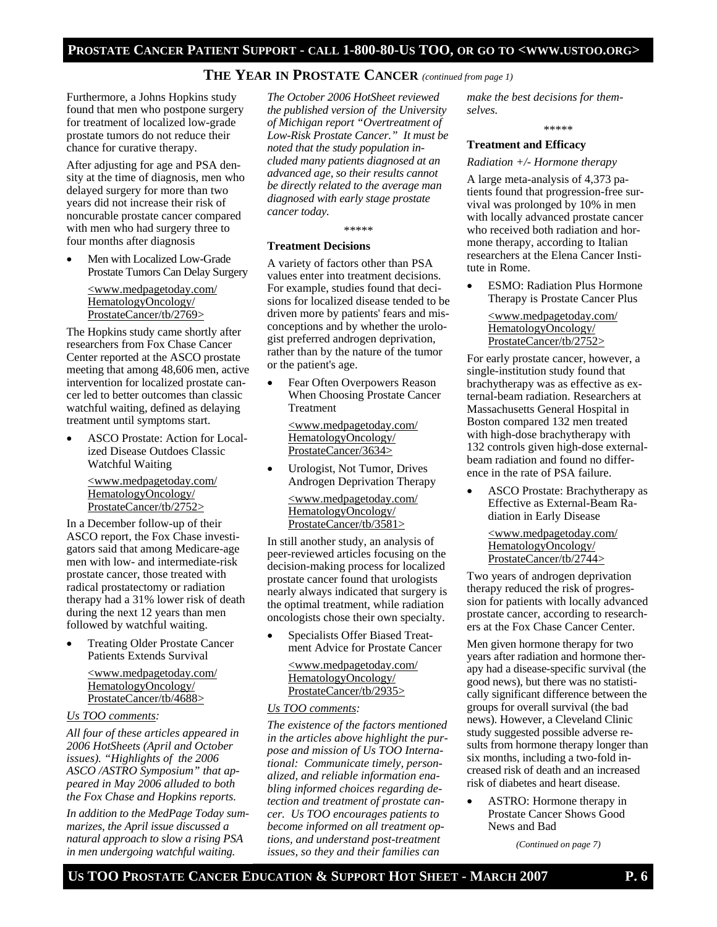# **THE YEAR IN PROSTATE CANCER** *(continued from page 1)*

Furthermore, a Johns Hopkins study found that men who postpone surgery for treatment of localized low-grade prostate tumors do not reduce their chance for curative therapy.

After adjusting for age and PSA density at the time of diagnosis, men who delayed surgery for more than two years did not increase their risk of noncurable prostate cancer compared with men who had surgery three to four months after diagnosis

Men with Localized Low-Grade Prostate Tumors Can Delay Surgery

<www.medpagetoday.com/ HematologyOncology/ ProstateCancer/tb/2769>

The Hopkins study came shortly after researchers from Fox Chase Cancer Center reported at the ASCO prostate meeting that among 48,606 men, active intervention for localized prostate cancer led to better outcomes than classic watchful waiting, defined as delaying treatment until symptoms start.

• ASCO Prostate: Action for Localized Disease Outdoes Classic Watchful Waiting

> <www.medpagetoday.com/ HematologyOncology/ ProstateCancer/tb/2752>

In a December follow-up of their ASCO report, the Fox Chase investigators said that among Medicare-age men with low- and intermediate-risk prostate cancer, those treated with radical prostatectomy or radiation therapy had a 31% lower risk of death during the next 12 years than men followed by watchful waiting.

• Treating Older Prostate Cancer Patients Extends Survival

> <www.medpagetoday.com/ HematologyOncology/ ProstateCancer/tb/4688>

### *Us TOO comments:*

*All four of these articles appeared in 2006 HotSheets (April and October issues). "Highlights of the 2006 ASCO /ASTRO Symposium" that appeared in May 2006 alluded to both the Fox Chase and Hopkins reports.* 

*In addition to the MedPage Today summarizes, the April issue discussed a natural approach to slow a rising PSA in men undergoing watchful waiting.* 

*The October 2006 HotSheet reviewed the published version of the University of Michigan report "Overtreatment of Low-Risk Prostate Cancer." It must be noted that the study population included many patients diagnosed at an advanced age, so their results cannot be directly related to the average man diagnosed with early stage prostate cancer today.* 

\*\*\*\*\*

# **Treatment Decisions**

A variety of factors other than PSA values enter into treatment decisions. For example, studies found that decisions for localized disease tended to be driven more by patients' fears and misconceptions and by whether the urologist preferred androgen deprivation, rather than by the nature of the tumor or the patient's age.

Fear Often Overpowers Reason When Choosing Prostate Cancer Treatment

<www.medpagetoday.com/ HematologyOncology/ ProstateCancer/3634>

• Urologist, Not Tumor, Drives Androgen Deprivation Therapy

> <www.medpagetoday.com/ HematologyOncology/ ProstateCancer/tb/3581>

In still another study, an analysis of peer-reviewed articles focusing on the decision-making process for localized prostate cancer found that urologists nearly always indicated that surgery is the optimal treatment, while radiation oncologists chose their own specialty.

• Specialists Offer Biased Treatment Advice for Prostate Cancer

<www.medpagetoday.com/ HematologyOncology/ ProstateCancer/tb/2935>

### *Us TOO comments:*

*The existence of the factors mentioned in the articles above highlight the purpose and mission of Us TOO International: Communicate timely, personalized, and reliable information enabling informed choices regarding detection and treatment of prostate cancer. Us TOO encourages patients to become informed on all treatment options, and understand post-treatment issues, so they and their families can* 

*make the best decisions for themselves.* 

\*\*\*\*\*

# **Treatment and Efficacy**

# *Radiation +/- Hormone therapy*

A large meta-analysis of 4,373 patients found that progression-free survival was prolonged by 10% in men with locally advanced prostate cancer who received both radiation and hormone therapy, according to Italian researchers at the Elena Cancer Institute in Rome.

**ESMO: Radiation Plus Hormone** Therapy is Prostate Cancer Plus

<www.medpagetoday.com/ HematologyOncology/ ProstateCancer/tb/2752>

For early prostate cancer, however, a single-institution study found that brachytherapy was as effective as external-beam radiation. Researchers at Massachusetts General Hospital in Boston compared 132 men treated with high-dose brachytherapy with 132 controls given high-dose externalbeam radiation and found no difference in the rate of PSA failure.

• ASCO Prostate: Brachytherapy as Effective as External-Beam Radiation in Early Disease

<www.medpagetoday.com/ HematologyOncology/ ProstateCancer/tb/2744>

Two years of androgen deprivation therapy reduced the risk of progression for patients with locally advanced prostate cancer, according to researchers at the Fox Chase Cancer Center.

Men given hormone therapy for two years after radiation and hormone therapy had a disease-specific survival (the good news), but there was no statistically significant difference between the groups for overall survival (the bad news). However, a Cleveland Clinic study suggested possible adverse results from hormone therapy longer than six months, including a two-fold increased risk of death and an increased risk of diabetes and heart disease.

• ASTRO: Hormone therapy in Prostate Cancer Shows Good News and Bad

*(Continued on page 7)*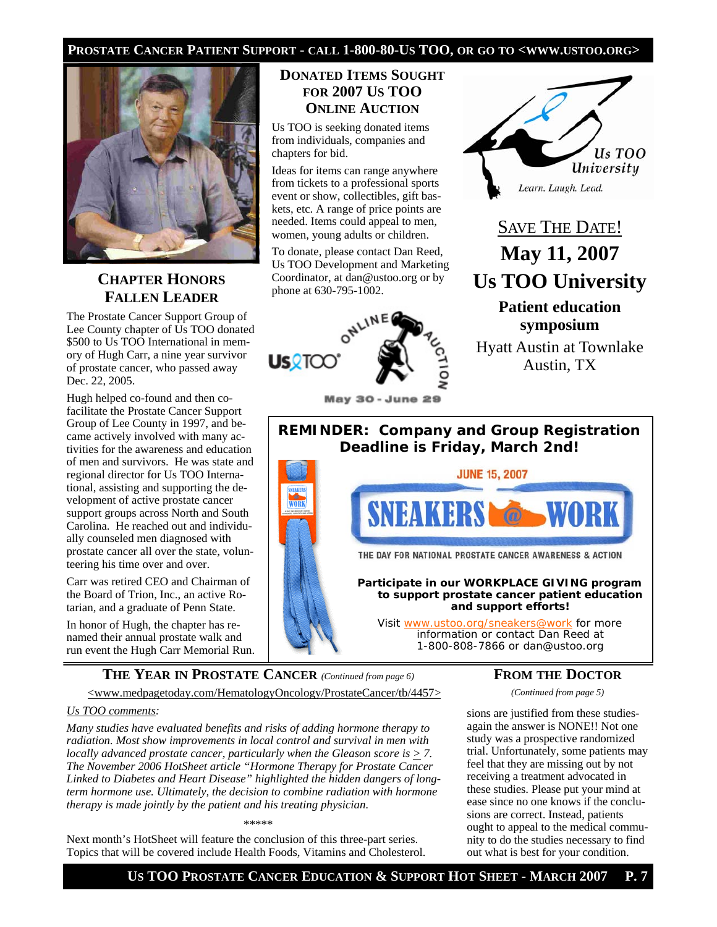# **PROSTATE CANCER PATIENT SUPPORT - CALL 1-800-80-US TOO, OR GO TO <WWW.USTOO.ORG>**



# **CHAPTER HONORS FALLEN LEADER**

The Prostate Cancer Support Group of Lee County chapter of Us TOO donated \$500 to Us TOO International in memory of Hugh Carr, a nine year survivor of prostate cancer, who passed away Dec. 22, 2005.

Hugh helped co-found and then cofacilitate the Prostate Cancer Support Group of Lee County in 1997, and became actively involved with many activities for the awareness and education of men and survivors. He was state and regional director for Us TOO International, assisting and supporting the development of active prostate cancer support groups across North and South Carolina. He reached out and individually counseled men diagnosed with prostate cancer all over the state, volunteering his time over and over.

Carr was retired CEO and Chairman of the Board of Trion, Inc., an active Rotarian, and a graduate of Penn State.

In honor of Hugh, the chapter has renamed their annual prostate walk and run event the Hugh Carr Memorial Run.

# **DONATED ITEMS SOUGHT FOR 2007 US TOO ONLINE AUCTION**

Us TOO is seeking donated items from individuals, companies and chapters for bid.

Ideas for items can range anywhere from tickets to a professional sports event or show, collectibles, gift baskets, etc. A range of price points are needed. Items could appeal to men, women, young adults or children.

To donate, please contact Dan Reed, Us TOO Development and Marketing Coordinator, at dan@ustoo.org or by phone at 630-795-1002.



**May 30 - June 29** 



# SAVE THE DATE! **May 11, 2007 Us TOO University**

**Patient education symposium**

Hyatt Austin at Townlake Austin, TX



THE DAY FOR NATIONAL PROSTATE CANCER AWARENESS & ACTION

**Participate in our WORKPLACE GIVING program to support prostate cancer patient education and support efforts!** 

Visit www.ustoo.org/sneakers@work for more information or contact Dan Reed at 1-800-808-7866 or dan@ustoo.org

**THE YEAR IN PROSTATE CANCER** *(Continued from page 6)* 

<www.medpagetoday.com/HematologyOncology/ProstateCancer/tb/4457>

# *Us TOO comments:*

*Many studies have evaluated benefits and risks of adding hormone therapy to radiation. Most show improvements in local control and survival in men with locally advanced prostate cancer, particularly when the Gleason score is > 7. The November 2006 HotSheet article "Hormone Therapy for Prostate Cancer Linked to Diabetes and Heart Disease" highlighted the hidden dangers of longterm hormone use. Ultimately, the decision to combine radiation with hormone therapy is made jointly by the patient and his treating physician.* 

\*\*\*\*\*

Next month's HotSheet will feature the conclusion of this three-part series. Topics that will be covered include Health Foods, Vitamins and Cholesterol.

# **FROM THE DOCTOR**

*(Continued from page 5)* 

sions are justified from these studiesagain the answer is NONE!! Not one study was a prospective randomized trial. Unfortunately, some patients may feel that they are missing out by not receiving a treatment advocated in these studies. Please put your mind at ease since no one knows if the conclusions are correct. Instead, patients ought to appeal to the medical community to do the studies necessary to find out what is best for your condition.